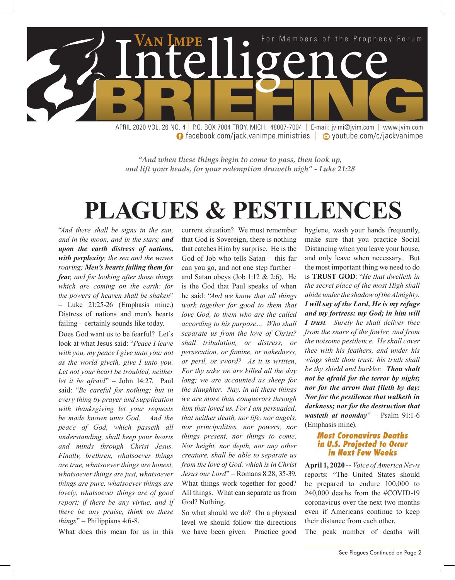

**facebook.com/jack.vanimpe.ministries | © youtube.com/c/jackvanimpe** 

*"And when these things begin to come to pass, then look up, and lift your heads, for your redemption draweth nigh" - Luke 21:28*

## **PLAGUES & PESTILENCES**

current situation? We must remember

"*And there shall be signs in the sun, and in the moon, and in the stars; and upon the earth distress of nations, with perplexity; the sea and the waves roaring; Men's hearts failing them for fear, and for looking after those things which are coming on the earth: for the powers of heaven shall be shaken*" – Luke 21:25-26 (Emphasis mine.) Distress of nations and men's hearts failing – certainly sounds like today.

Does God want us to be fearful? Let's look at what Jesus said: "*Peace I leave with you, my peace I give unto you: not as the world giveth, give I unto you. Let not your heart be troubled, neither let it be afraid*" – John 14:27. Paul said: "*Be careful for nothing; but in every thing by prayer and supplication with thanksgiving let your requests be made known unto God. And the peace of God, which passeth all understanding, shall keep your hearts and minds through Christ Jesus. Finally, brethren, whatsoever things are true, whatsoever things are honest, whatsoever things are just, whatsoever things are pure, whatsoever things are lovely, whatsoever things are of good report; if there be any virtue, and if there be any praise, think on these things*" – Philippians 4:6-8.

What does this mean for us in this

that God is Sovereign, there is nothing that catches Him by surprise. He is the God of Job who tells Satan – this far can you go, and not one step further – and Satan obeys (Job 1:12 & 2:6). He is the God that Paul speaks of when he said: "*And we know that all things work together for good to them that love God, to them who are the called according to his purpose… Who shall separate us from the love of Christ? shall tribulation, or distress, or persecution, or famine, or nakedness, or peril, or sword? As it is written, For thy sake we are killed all the day long; we are accounted as sheep for the slaughter. Nay, in all these things we are more than conquerors through him that loved us. For I am persuaded, that neither death, nor life, nor angels, nor principalities, nor powers, nor things present, nor things to come, Nor height, nor depth, nor any other creature, shall be able to separate us from the love of God, which is in Christ Jesus our Lord*" – Romans 8:28, 35-39. What things work together for good? All things. What can separate us from God? Nothing.

So what should we do? On a physical level we should follow the directions we have been given. Practice good

hygiene, wash your hands frequently, make sure that you practice Social Distancing when you leave your house, and only leave when necessary. But the most important thing we need to do is **TRUST GOD**: "*He that dwelleth in the secret place of the most High shall abide under the shadow of the Almighty. I will say of the Lord, He is my refuge and my fortress: my God; in him will I trust. Surely he shall deliver thee from the snare of the fowler, and from the noisome pestilence. He shall cover thee with his feathers, and under his wings shalt thou trust: his truth shall be thy shield and buckler. Thou shalt not be afraid for the terror by night; nor for the arrow that flieth by day; Nor for the pestilence that walketh in darkness; nor for the destruction that wasteth at noonday*" – Psalm 91:1-6 (Emphasis mine).

#### *Most Coronavirus Deaths in U.S. Projected to Occur in Next Few Weeks*

**April 1, 2020 --** *Voice of America News* reports: "The United States should be prepared to endure 100,000 to 240,000 deaths from the #COVID-19 coronavirus over the next two months even if Americans continue to keep their distance from each other.

The peak number of deaths will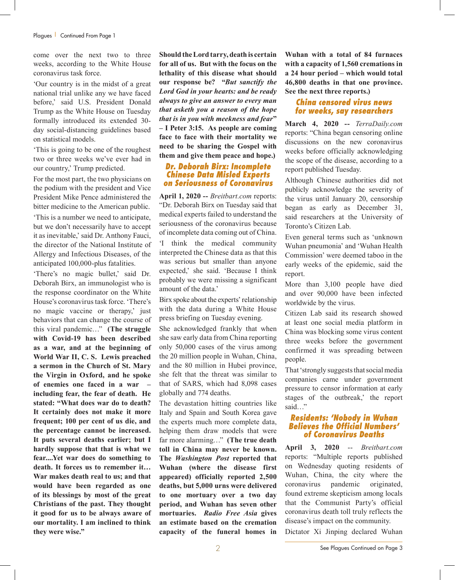come over the next two to three weeks, according to the White House coronavirus task force.

'Our country is in the midst of a great national trial unlike any we have faced before,' said U.S. President Donald Trump as the White House on Tuesday formally introduced its extended 30 day social-distancing guidelines based on statistical models.

'This is going to be one of the roughest two or three weeks we've ever had in our country,' Trump predicted.

For the most part, the two physicians on the podium with the president and Vice President Mike Pence administered the bitter medicine to the American public.

'This is a number we need to anticipate, but we don't necessarily have to accept it as inevitable,' said Dr. Anthony Fauci, the director of the National Institute of Allergy and Infectious Diseases, of the anticipated 100,000-plus fatalities.

'There's no magic bullet,' said Dr. Deborah Birx, an immunologist who is the response coordinator on the White House's coronavirus task force. 'There's no magic vaccine or therapy,' just behaviors that can change the course of this viral pandemic…" **(The struggle with Covid-19 has been described as a war, and at the beginning of World War II, C. S. Lewis preached a sermon in the Church of St. Mary the Virgin in Oxford, and he spoke of enemies one faced in a war – including fear, the fear of death. He stated: "What does war do to death? It certainly does not make it more frequent; 100 per cent of us die, and the percentage cannot be increased. It puts several deaths earlier; but I hardly suppose that that is what we fear....Yet war does do something to death. It forces us to remember it… War makes death real to us; and that would have been regarded as one of its blessings by most of the great Christians of the past. They thought it good for us to be always aware of our mortality. I am inclined to think they were wise."** 

**Should the Lord tarry, death is certain for all of us. But with the focus on the lethality of this disease what should our response be? "***But sanctify the Lord God in your hearts: and be ready always to give an answer to every man that asketh you a reason of the hope that is in you with meekness and fear***" – I Peter 3:15. As people are coming face to face with their mortality we need to be sharing the Gospel with them and give them peace and hope.)**

#### *Dr. Deborah Birx: Incomplete Chinese Data Misled Experts on Seriousness of Coronavirus*

**April 1, 2020 --** *Breitbart.com* reports: "Dr. Deborah Birx on Tuesday said that medical experts failed to understand the seriousness of the coronavirus because of incomplete data coming out of China.

'I think the medical community interpreted the Chinese data as that this was serious but smaller than anyone expected,' she said. 'Because I think probably we were missing a significant amount of the data.'

Birx spoke about the experts' relationship with the data during a White House press briefing on Tuesday evening.

She acknowledged frankly that when she saw early data from China reporting only 50,000 cases of the virus among the 20 million people in Wuhan, China, and the 80 million in Hubei province, she felt that the threat was similar to that of SARS, which had 8,098 cases globally and 774 deaths.

The devastation hitting countries like Italy and Spain and South Korea gave the experts much more complete data, helping them draw models that were far more alarming…" **(The true death toll in China may never be known. The** *Washington Post* **reported that Wuhan (where the disease first appeared) officially reported 2,500 deaths, but 5,000 urns were delivered to one mortuary over a two day period, and Wuhan has seven other mortuaries.** *Radio Free Asia* **gives an estimate based on the cremation capacity of the funeral homes in** 

**Wuhan with a total of 84 furnaces with a capacity of 1,560 cremations in a 24 hour period – which would total 46,800 deaths in that one province. See the next three reports.)** 

#### *China censored virus news for weeks, say researchers*

**March 4, 2020 --** *TerraDaily.com* reports: "China began censoring online discussions on the new coronavirus weeks before officially acknowledging the scope of the disease, according to a report published Tuesday.

Although Chinese authorities did not publicly acknowledge the severity of the virus until January 20, censorship began as early as December 31, said researchers at the University of Toronto's Citizen Lab.

Even general terms such as 'unknown Wuhan pneumonia' and 'Wuhan Health Commission' were deemed taboo in the early weeks of the epidemic, said the report.

More than 3,100 people have died and over 90,000 have been infected worldwide by the virus.

Citizen Lab said its research showed at least one social media platform in China was blocking some virus content three weeks before the government confirmed it was spreading between people.

That 'strongly suggests that social media companies came under government pressure to censor information at early stages of the outbreak,' the report said…"

#### *Residents: 'Nobody in Wuhan Believes the Official Numbers' of Coronavirus Deaths*

**April 3, 2020** -- *Breitbart.com* reports: "Multiple reports published on Wednesday quoting residents of Wuhan, China, the city where the coronavirus pandemic originated, found extreme skepticism among locals that the Communist Party's official coronavirus death toll truly reflects the disease's impact on the community.

Dictator Xi Jinping declared Wuhan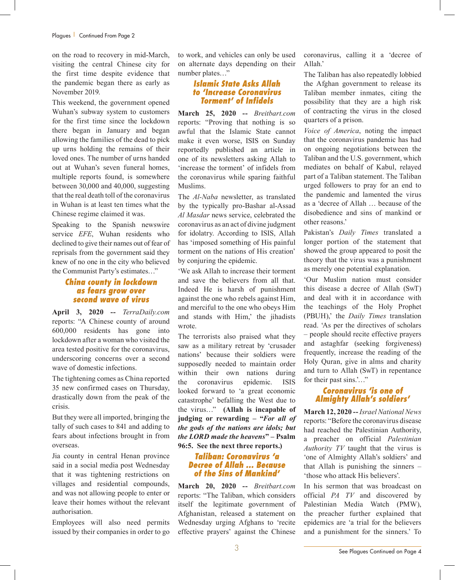on the road to recovery in mid-March, visiting the central Chinese city for the first time despite evidence that the pandemic began there as early as November 2019.

This weekend, the government opened Wuhan's subway system to customers for the first time since the lockdown there began in January and began allowing the families of the dead to pick up urns holding the remains of their loved ones. The number of urns handed out at Wuhan's seven funeral homes, multiple reports found, is somewhere between 30,000 and 40,000, suggesting that the real death toll of the coronavirus in Wuhan is at least ten times what the Chinese regime claimed it was.

Speaking to the Spanish newswire service *EFE*, Wuhan residents who declined to give their names out of fear of reprisals from the government said they knew of no one in the city who believed the Communist Party's estimates…"

#### *China county in lockdown as fears grow over second wave of virus*

**April 3, 2020 --** *TerraDaily.com* reports: "A Chinese county of around 600,000 residents has gone into lockdown after a woman who visited the area tested positive for the coronavirus, underscoring concerns over a second wave of domestic infections.

The tightening comes as China reported 35 new confirmed cases on Thursday, drastically down from the peak of the crisis.

But they were all imported, bringing the tally of such cases to 841 and adding to fears about infections brought in from overseas.

Jia county in central Henan province said in a social media post Wednesday that it was tightening restrictions on villages and residential compounds, and was not allowing people to enter or leave their homes without the relevant authorisation.

Employees will also need permits issued by their companies in order to go to work, and vehicles can only be used on alternate days depending on their number plates…"

#### *Islamic State Asks Allah to 'Increase Coronavirus Torment' of Infidels*

**March 25, 2020 --** *Breitbart.com* reports: "Proving that nothing is so awful that the Islamic State cannot make it even worse, ISIS on Sunday reportedly published an article in one of its newsletters asking Allah to 'increase the torment' of infidels from the coronavirus while sparing faithful Muslims.

The *Al-Naba* newsletter, as translated by the typically pro-Bashar al-Assad *Al Masdar* news service, celebrated the coronavirus as an act of divine judgment for idolatry. According to ISIS, Allah has 'imposed something of His painful torment on the nations of His creation' by conjuring the epidemic.

'We ask Allah to increase their torment and save the believers from all that. Indeed He is harsh of punishment against the one who rebels against Him, and merciful to the one who obeys Him and stands with Him,' the jihadists wrote.

The terrorists also praised what they saw as a military retreat by 'crusader nations' because their soldiers were supposedly needed to maintain order within their own nations during the coronavirus epidemic. ISIS looked forward to 'a great economic catastrophe' befalling the West due to the virus…" **(Allah is incapable of judging or rewarding – "***For all of the gods of the nations are idols; but the LORD made the heavens***" – Psalm 96:5. See the next three reports.)**

#### *Taliban: Coronavirus 'a Decree of Allah … Because of the Sins of Mankind'*

**March 20, 2020 --** *Breitbart.com* reports: "The Taliban, which considers itself the legitimate government of Afghanistan, released a statement on Wednesday urging Afghans to 'recite effective prayers' against the Chinese

coronavirus, calling it a 'decree of Allah.'

The Taliban has also repeatedly lobbied the Afghan government to release its Taliban member inmates, citing the possibility that they are a high risk of contracting the virus in the closed quarters of a prison.

*Voice of America*, noting the impact that the coronavirus pandemic has had on ongoing negotiations between the Taliban and the U.S. government, which mediates on behalf of Kabul, relayed part of a Taliban statement. The Taliban urged followers to pray for an end to the pandemic and lamented the virus as a 'decree of Allah … because of the disobedience and sins of mankind or other reasons.'

Pakistan's *Daily Times* translated a longer portion of the statement that showed the group appeared to posit the theory that the virus was a punishment as merely one potential explanation.

'Our Muslim nation must consider this disease a decree of Allah (SwT) and deal with it in accordance with the teachings of the Holy Prophet (PBUH),' the *Daily Times* translation read. 'As per the directives of scholars – people should recite effective prayers and astaghfar (seeking forgiveness) frequently, increase the reading of the Holy Quran, give in alms and charity and turn to Allah (SwT) in repentance for their past sins.'..."

#### *Coronavirus 'is one of Almighty Allah's soldiers'*

**March 12, 2020 --** *Israel National News* reports: "Before the coronavirus disease had reached the Palestinian Authority, a preacher on official *Palestinian Authority TV* taught that the virus is 'one of Almighty Allah's soldiers' and that Allah is punishing the sinners – 'those who attack His believers'.

In his sermon that was broadcast on official *PA TV* and discovered by Palestinian Media Watch (PMW), the preacher further explained that epidemics are 'a trial for the believers and a punishment for the sinners.' To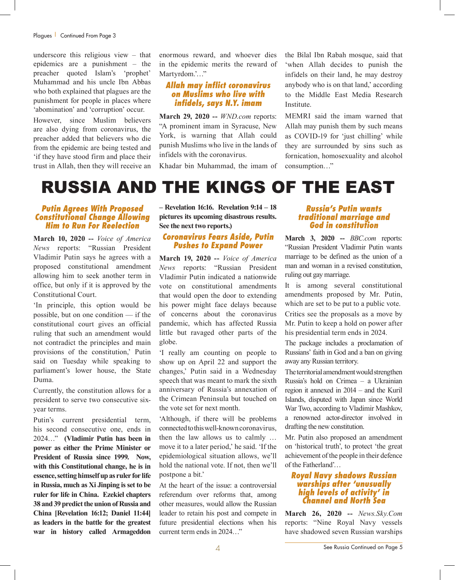#### Plagues | Continued From Page 3

underscore this religious view – that epidemics are a punishment – the preacher quoted Islam's 'prophet' Muhammad and his uncle Ibn Abbas who both explained that plagues are the punishment for people in places where 'abomination' and 'corruption' occur.

However, since Muslim believers are also dying from coronavirus, the preacher added that believers who die from the epidemic are being tested and 'if they have stood firm and place their trust in Allah, then they will receive an enormous reward, and whoever dies in the epidemic merits the reward of Martyrdom.'…"

#### *Allah may inflict coronavirus on Muslims who live with infidels, says N.Y. imam*

**March 29, 2020 --** *WND.com* reports: "A prominent imam in Syracuse, New York, is warning that Allah could punish Muslims who live in the lands of infidels with the coronavirus.

Khadar bin Muhammad, the imam of

the Bilal Ibn Rabah mosque, said that 'when Allah decides to punish the infidels on their land, he may destroy anybody who is on that land,' according to the Middle East Media Research Institute.

MEMRI said the imam warned that Allah may punish them by such means as COVID-19 for 'just chilling' while they are surrounded by sins such as fornication, homosexuality and alcohol consumption…"

### RUSSIA AND THE KINGS OF THE EAST

#### *Putin Agrees With Proposed Constitutional Change Allowing Him to Run For Reelection*

**March 10, 2020 --** *Voice of America News* reports: "Russian President Vladimir Putin says he agrees with a proposed constitutional amendment allowing him to seek another term in office, but only if it is approved by the Constitutional Court.

'In principle, this option would be possible, but on one condition — if the constitutional court gives an official ruling that such an amendment would not contradict the principles and main provisions of the constitution,' Putin said on Tuesday while speaking to parliament's lower house, the State Duma.

Currently, the constitution allows for a president to serve two consecutive sixyear terms.

Putin's current presidential term, his second consecutive one, ends in 2024…" **(Vladimir Putin has been in power as either the Prime Minister or President of Russia since 1999. Now, with this Constitutional change, he is in essence, setting himself up as ruler for life in Russia, much as Xi Jinping is set to be ruler for life in China. Ezekiel chapters 38 and 39 predict the union of Russia and China [Revelation 16:12; Daniel 11:44] as leaders in the battle for the greatest war in history called Armageddon**  **– Revelation 16:16. Revelation 9:14 – 18 pictures its upcoming disastrous results. See the next two reports.)**

#### *Coronavirus Fears Aside, Putin Pushes to Expand Power*

**March 19, 2020 --** *Voice of America News* reports: "Russian President Vladimir Putin indicated a nationwide vote on constitutional amendments that would open the door to extending his power might face delays because of concerns about the coronavirus pandemic, which has affected Russia little but ravaged other parts of the globe.

'I really am counting on people to show up on April 22 and support the changes,' Putin said in a Wednesday speech that was meant to mark the sixth anniversary of Russia's annexation of the Crimean Peninsula but touched on the vote set for next month.

'Although, if there will be problems connected to this well-known coronavirus, then the law allows us to calmly … move it to a later period,' he said. 'If the epidemiological situation allows, we'll hold the national vote. If not, then we'll postpone a bit.'

At the heart of the issue: a controversial referendum over reforms that, among other measures, would allow the Russian leader to retain his post and compete in future presidential elections when his current term ends in 2024…"

#### *Russia's Putin wants traditional marriage and God in constitution*

**March 3, 2020 --** *BBC.com* reports: "Russian President Vladimir Putin wants marriage to be defined as the union of a man and woman in a revised constitution, ruling out gay marriage.

It is among several constitutional amendments proposed by Mr. Putin, which are set to be put to a public vote. Critics see the proposals as a move by Mr. Putin to keep a hold on power after his presidential term ends in 2024.

The package includes a proclamation of Russians' faith in God and a ban on giving away any Russian territory.

The territorial amendment would strengthen Russia's hold on Crimea – a Ukrainian region it annexed in 2014 – and the Kuril Islands, disputed with Japan since World War Two, according to Vladimir Mashkov, a renowned actor-director involved in drafting the new constitution.

Mr. Putin also proposed an amendment on 'historical truth', to protect 'the great achievement of the people in their defence of the Fatherland'…

#### *Royal Navy shadows Russian warships after 'unusually high levels of activity' in Channel and North Sea*

**March 26, 2020 --** *News.Sky.Com* reports: "Nine Royal Navy vessels have shadowed seven Russian warships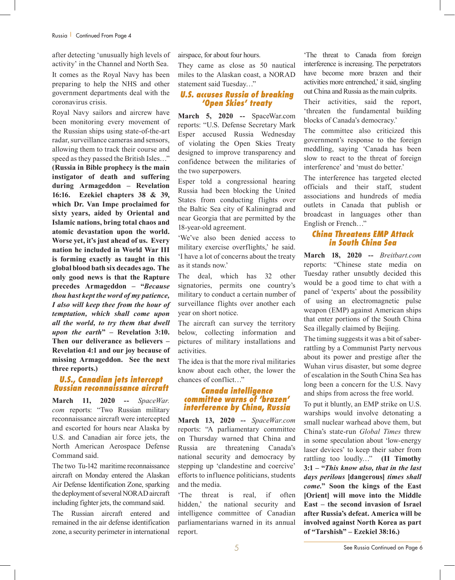after detecting 'unusually high levels of activity' in the Channel and North Sea.

It comes as the Royal Navy has been preparing to help the NHS and other government departments deal with the coronavirus crisis.

Royal Navy sailors and aircrew have been monitoring every movement of the Russian ships using state-of-the-art radar, surveillance cameras and sensors, allowing them to track their course and speed as they passed the British Isles…" **(Russia in Bible prophecy is the main instigator of death and suffering during Armageddon – Revelation 16:16. Ezekiel chapters 38 & 39, which Dr. Van Impe proclaimed for sixty years, aided by Oriental and Islamic nations, bring total chaos and atomic devastation upon the world. Worse yet, it's just ahead of us. Every nation he included in World War III is forming exactly as taught in this global blood bath six decades ago. The only good news is that the Rapture precedes Armageddon – "***Because thou hast kept the word of my patience, I also will keep thee from the hour of temptation, which shall come upon all the world, to try them that dwell upon the earth***" – Revelation 3:10. Then our deliverance as believers – Revelation 4:1 and our joy because of missing Armageddon. See the next three reports.)**

#### *U.S., Canadian jets intercept Russian reconnaissance aircraft*

**March 11, 2020 --** *SpaceWar. com* reports: "Two Russian military reconnaissance aircraft were intercepted and escorted for hours near Alaska by U.S. and Canadian air force jets, the North American Aerospace Defense Command said.

The two Tu-142 maritime reconnaissance aircraft on Monday entered the Alaskan Air Defense Identification Zone, sparking the deployment of several NORAD aircraft including fighter jets, the command said.

The Russian aircraft entered and remained in the air defense identification zone, a security perimeter in international airspace, for about four hours.

They came as close as 50 nautical miles to the Alaskan coast, a NORAD statement said Tuesday…"

#### *U.S. accuses Russia of breaking 'Open Skies' treaty*

**March 5, 2020 --** SpaceWar.com reports: "U.S. Defense Secretary Mark Esper accused Russia Wednesday of violating the Open Skies Treaty designed to improve transparency and confidence between the militaries of the two superpowers.

Esper told a congressional hearing Russia had been blocking the United States from conducting flights over the Baltic Sea city of Kaliningrad and near Georgia that are permitted by the 18-year-old agreement.

'We've also been denied access to military exercise overflights,' he said. 'I have a lot of concerns about the treaty as it stands now.'

The deal, which has 32 other signatories, permits one country's military to conduct a certain number of surveillance flights over another each year on short notice.

The aircraft can survey the territory below, collecting information and pictures of military installations and activities.

The idea is that the more rival militaries know about each other, the lower the chances of conflict…"

#### *Canada intelligence committee warns of 'brazen' interference by China, Russia*

**March 13, 2020 --** *SpaceWar.com* reports: "A parliamentary committee on Thursday warned that China and Russia are threatening Canada's national security and democracy by stepping up 'clandestine and coercive' efforts to influence politicians, students and the media.

'The threat is real, if often hidden,' the national security and intelligence committee of Canadian parliamentarians warned in its annual report.

'The threat to Canada from foreign interference is increasing. The perpetrators have become more brazen and their activities more entrenched,' it said, singling out China and Russia as the main culprits.

Their activities, said the report, 'threaten the fundamental building blocks of Canada's democracy.'

The committee also criticized this government's response to the foreign meddling, saying 'Canada has been slow to react to the threat of foreign interference' and 'must do better.'

The interference has targeted elected officials and their staff, student associations and hundreds of media outlets in Canada that publish or broadcast in languages other than English or French…"

#### *China Threatens EMP Attack in South China Sea*

**March 18, 2020 --** *Breitbart.com* reports: "Chinese state media on Tuesday rather unsubtly decided this would be a good time to chat with a panel of 'experts' about the possibility of using an electromagnetic pulse weapon (EMP) against American ships that enter portions of the South China Sea illegally claimed by Beijing.

The timing suggests it was a bit of saberrattling by a Communist Party nervous about its power and prestige after the Wuhan virus disaster, but some degree of escalation in the South China Sea has long been a concern for the U.S. Navy and ships from across the free world.

To put it bluntly, an EMP strike on U.S. warships would involve detonating a small nuclear warhead above them, but China's state-run *Global Times* threw in some speculation about 'low-energy laser devices' to keep their saber from rattling too loudly…" **(II Timothy 3:1 – "***This know also, that in the last days perilous* **[dangerous]** *times shall come.***" Soon the kings of the East [Orient] will move into the Middle East – the second invasion of Israel after Russia's defeat. America will be involved against North Korea as part of "Tarshish" – Ezekiel 38:16.)**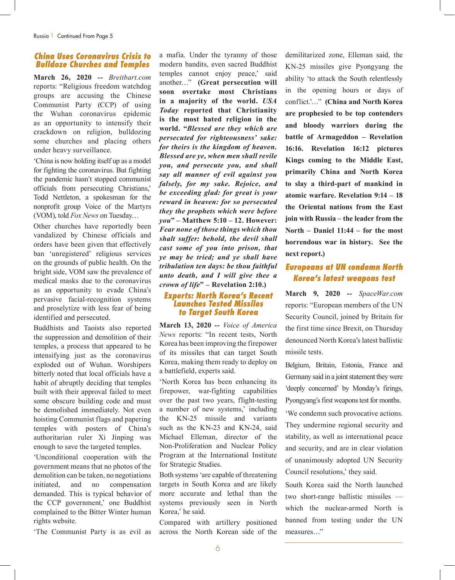#### *China Uses Coronavirus Crisis to Bulldoze Churches and Temples*

**March 26, 2020 --** *Breitbart.com* reports: "Religious freedom watchdog groups are accusing the Chinese Communist Party (CCP) of using the Wuhan coronavirus epidemic as an opportunity to intensify their crackdown on religion, bulldozing some churches and placing others under heavy surveillance.

'China is now holding itself up as a model for fighting the coronavirus. But fighting the pandemic hasn't stopped communist officials from persecuting Christians,' Todd Nettleton, a spokesman for the nonprofit group Voice of the Martyrs (VOM), told *Fox News* on Tuesday…

Other churches have reportedly been vandalized by Chinese officials and orders have been given that effectively ban 'unregistered' religious services on the grounds of public health. On the bright side, VOM saw the prevalence of medical masks due to the coronavirus as an opportunity to evade China's pervasive facial-recognition systems and proselytize with less fear of being identified and persecuted.

Buddhists and Taoists also reported the suppression and demolition of their temples, a process that appeared to be intensifying just as the coronavirus exploded out of Wuhan. Worshipers bitterly noted that local officials have a habit of abruptly deciding that temples built with their approval failed to meet some obscure building code and must be demolished immediately. Not even hoisting Communist flags and papering temples with posters of China's authoritarian ruler Xi Jinping was enough to save the targeted temples.

'Unconditional cooperation with the government means that no photos of the demolition can be taken, no negotiations initiated, and no compensation demanded. This is typical behavior of the CCP government,' one Buddhist complained to the Bitter Winter human rights website.

'The Communist Party is as evil as

a mafia. Under the tyranny of those modern bandits, even sacred Buddhist temples cannot enjoy peace,' said another…" **(Great persecution will soon overtake most Christians in a majority of the world.** *USA Today* **reported that Christianity is the most hated religion in the world. "***Blessed are they which are persecuted for righteousness' sake: for theirs is the kingdom of heaven. Blessed are ye, when men shall revile you, and persecute you, and shall say all manner of evil against you falsely, for my sake. Rejoice, and be exceeding glad: for great is your reward in heaven: for so persecuted they the prophets which were before you***" – Matthew 5:10 – 12. However:**  *Fear none of those things which thou shalt suffer: behold, the devil shall cast some of you into prison, that ye may be tried; and ye shall have tribulation ten days: be thou faithful unto death, and I will give thee a crown of life***" – Revelation 2:10.)**

#### *Experts: North Korea's Recent Launches Tested Missiles to Target South Korea*

**March 13, 2020 --** *Voice of America News* reports: "In recent tests, North Korea has been improving the firepower of its missiles that can target South Korea, making them ready to deploy on a battlefield, experts said.

'North Korea has been enhancing its firepower, war-fighting capabilities over the past two years, flight-testing a number of new systems,' including the KN-25 missile and variants such as the KN-23 and KN-24, said Michael Elleman, director of the Non-Proliferation and Nuclear Policy Program at the International Institute for Strategic Studies.

Both systems 'are capable of threatening targets in South Korea and are likely more accurate and lethal than the systems previously seen in North Korea,' he said.

Compared with artillery positioned across the North Korean side of the demilitarized zone, Elleman said, the KN-25 missiles give Pyongyang the ability 'to attack the South relentlessly in the opening hours or days of conflict.'…" **(China and North Korea are prophesied to be top contenders and bloody warriors during the battle of Armageddon – Revelation 16:16. Revelation 16:12 pictures Kings coming to the Middle East, primarily China and North Korea to slay a third-part of mankind in atomic warfare. Revelation 9:14 – 18 the Oriental nations from the East join with Russia – the leader from the North – Daniel 11:44 – for the most horrendous war in history. See the next report.)**

#### *Europeans at UN condemn North Korea's latest weapons test*

**March 9, 2020 --** *SpaceWar.com* reports: "European members of the UN Security Council, joined by Britain for the first time since Brexit, on Thursday denounced North Korea's latest ballistic missile tests.

Belgium, Britain, Estonia, France and Germany said in a joint statement they were 'deeply concerned' by Monday's firings, Pyongyang's first weapons test for months.

'We condemn such provocative actions. They undermine regional security and stability, as well as international peace and security, and are in clear violation of unanimously adopted UN Security Council resolutions,' they said.

South Korea said the North launched two short-range ballistic missiles which the nuclear-armed North is banned from testing under the UN measures…"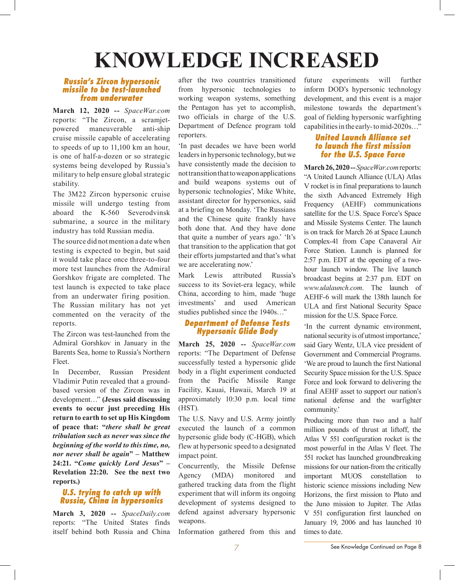# **KNOWLEDGE INCREASED**

#### *Russia's Zircon hypersonic missile to be test-launched from underwater*

**March 12, 2020 --** *SpaceWar.com* reports: "The Zircon, a scramjetpowered maneuverable anti-ship cruise missile capable of accelerating to speeds of up to 11,100 km an hour, is one of half-a-dozen or so strategic systems being developed by Russia's military to help ensure global strategic stability.

The 3M22 Zircon hypersonic cruise missile will undergo testing from aboard the K-560 Severodvinsk submarine, a source in the military industry has told Russian media.

The source did not mention a date when testing is expected to begin, but said it would take place once three-to-four more test launches from the Admiral Gorshkov frigate are completed. The test launch is expected to take place from an underwater firing position. The Russian military has not yet commented on the veracity of the reports.

The Zircon was test-launched from the Admiral Gorshkov in January in the Barents Sea, home to Russia's Northern Fleet.

In December, Russian President Vladimir Putin revealed that a groundbased version of the Zircon was in development…" **(Jesus said discussing events to occur just preceding His return to earth to set up His Kingdom of peace that: "***there shall be great tribulation such as never was since the beginning of the world to this time, no, nor never shall be again***" – Matthew 24:21. "***Come quickly Lord Jesus***" – Revelation 22:20. See the next two reports.)**

#### *U.S. trying to catch up with Russia, China in hypersonics*

**March 3, 2020 --** *SpaceDaily.com* reports: "The United States finds itself behind both Russia and China

after the two countries transitioned from hypersonic technologies to working weapon systems, something the Pentagon has yet to accomplish, two officials in charge of the U.S. Department of Defence program told reporters.

'In past decades we have been world leaders in hypersonic technology, but we have consistently made the decision to not transition that to weapon applications and build weapons systems out of hypersonic technologies', Mike White, assistant director for hypersonics, said at a briefing on Monday. 'The Russians and the Chinese quite frankly have both done that. And they have done that quite a number of years ago.' 'It's that transition to the application that got their efforts jumpstarted and that's what we are accelerating now.'

Mark Lewis attributed Russia's success to its Soviet-era legacy, while China, according to him, made 'huge investments' and used American studies published since the 1940s…"

#### *Department of Defense Tests Hypersonic Glide Body*

**March 25, 2020 --** *SpaceWar.com* reports: "The Department of Defense successfully tested a hypersonic glide body in a flight experiment conducted from the Pacific Missile Range Facility, Kauai, Hawaii, March 19 at approximately 10:30 p.m. local time (HST).

The U.S. Navy and U.S. Army jointly executed the launch of a common hypersonic glide body (C-HGB), which flew at hypersonic speed to a designated impact point.

Concurrently, the Missile Defense Agency (MDA) monitored and gathered tracking data from the flight experiment that will inform its ongoing development of systems designed to defend against adversary hypersonic weapons.

Information gathered from this and

future experiments will further inform DOD's hypersonic technology development, and this event is a major milestone towards the department's goal of fielding hypersonic warfighting capabilities in the early- to mid-2020s…"

#### *United Launch Alliance set to launch the first mission for the U.S. Space Force*

**March 26, 2020 --** *SpaceWar.com* reports: "A United Launch Alliance (ULA) Atlas V rocket is in final preparations to launch the sixth Advanced Extremely High Frequency (AEHF) communications satellite for the U.S. Space Force's Space and Missile Systems Center. The launch is on track for March 26 at Space Launch Complex-41 from Cape Canaveral Air Force Station. Launch is planned for 2:57 p.m. EDT at the opening of a twohour launch window. The live launch broadcast begins at 2:37 p.m. EDT on *www.ulalaunch.com*. The launch of AEHF-6 will mark the 138th launch for ULA and first National Security Space mission for the U.S. Space Force.

'In the current dynamic environment, national security is of utmost importance,' said Gary Wentz, ULA vice president of Government and Commercial Programs. 'We are proud to launch the first National Security Space mission for the U.S. Space Force and look forward to delivering the final AEHF asset to support our nation's national defense and the warfighter community.'

Producing more than two and a half million pounds of thrust at liftoff, the Atlas V 551 configuration rocket is the most powerful in the Atlas V fleet. The 551 rocket has launched groundbreaking missions for our nation-from the critically important MUOS constellation to historic science missions including New Horizons, the first mission to Pluto and the Juno mission to Jupiter. The Atlas V 551 configuration first launched on January 19, 2006 and has launched 10 times to date.